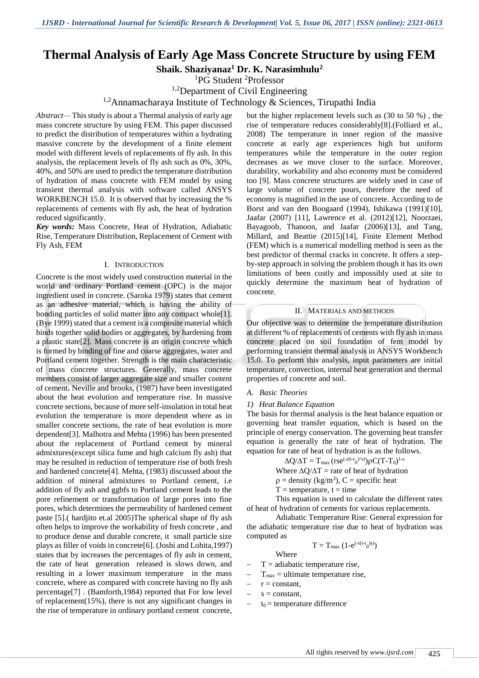# **Thermal Analysis of Early Age Mass Concrete Structure by using FEM**

**Shaik. Shaziyanaz<sup>1</sup> Dr. K. Narasimhulu<sup>2</sup>**

<sup>1</sup>PG Student <sup>2</sup>Professor

<sup>1,2</sup>Department of Civil Engineering

# <sup>1,2</sup>Annamacharaya Institute of Technology & Sciences, Tirupathi India

*Abstract—* This study is about a Thermal analysis of early age mass concrete structure by using FEM. This paper discussed to predict the distribution of temperatures within a hydrating massive concrete by the development of a finite element model with different levels of replacements of fly ash. In this analysis, the replacement levels of fly ash such as 0%, 30%, 40%, and 50% are used to predict the temperature distribution of hydration of mass concrete with FEM model by using transient thermal analysis with software called ANSYS WORKBENCH 15.0. It is observed that by increasing the % replacements of cements with fly ash, the heat of hydration reduced significantly.

*Key words:* Mass Concrete, Heat of Hydration, Adiabatic Rise, Temperature Distribution, Replacement of Cement with Fly Ash, FEM

#### I. INTRODUCTION

Concrete is the most widely used construction material in the world and ordinary Portland cement (OPC) is the major ingredient used in concrete. (Saroka 1979) states that cement as an adhesive material, which is having the ability of bonding particles of solid matter into any compact whole<sup>[1]</sup>. (Bye 1999) stated that a cement is a composite material which binds together solid bodies or aggregates, by hardening from a plastic state[2]. Mass concrete is an origin concrete which is formed by binding of fine and coarse aggregates, water and Portland cement together. Strength is the main characteristic of mass concrete structures. Generally, mass concrete members consist of larger aggregate size and smaller content of cement**.** Neville and brooks, (1987) have been investigated about the heat evolution and temperature rise. In massive concrete sections, because of more self-insulation in total heat evolution the temperature is more dependent where as in smaller concrete sections, the rate of heat evolution is more dependent[3]. Malhotra and Mehta (1996) has been presented about the replacement of Portland cement by mineral admixtures(except silica fume and high calcium fly ash) that may be resulted in reduction of temperature rise of both fresh and hardened concrete[4]. Mehta, (1983) discussed about the addition of mineral admixtures to Portland cement, i.e addition of fly ash and ggbfs to Portland cement leads to the pore refinement or transformation of large pores into fine pores, which determines the permeability of hardened cement paste [5].( hardjito et.al 2005)The spherical shape of fly ash often helps to improve the workability of fresh concrete , and to produce dense and durable concrete, it small particle size plays as filler of voids in concrete[6]. (Joshi and Lohita,1997) states that by increases the percentages of fly ash in cement, the rate of heat generation released is slows down, and resulting in a lower maximum temperature in the mass concrete, where as compared with concrete having no fly ash percentage[7] . (Bamforth,1984) reported that For low level of replacement(15%), there is not any significant changes in the rise of temperature in ordinary portland cement concrete,

but the higher replacement levels such as (30 to 50 %) , the rise of temperature reduces considerably[8].(Folliard et al., 2008) The temperature in inner region of the massive concrete at early age experiences high but uniform temperatures while the temperature in the outer region decreases as we move closer to the surface. Moreover, durability, workability and also economy must be considered too [9]. Mass concrete structures are widely used in case of large volume of concrete pours, therefore the need of economy is magnified in the use of concrete. According to de Borst and van den Boogaard (1994), Ishikawa (1991)[10], Jaafar (2007) [11], Lawrence et al. (2012)[12], Noorzaei, Bayagoob, Thanoon, and Jaafar (2006)[13], and Tang, Millard, and Beattie (2015)[14], Finite Element Method (FEM) which is a numerical modelling method is seen as the best predictor of thermal cracks in concrete. It offers a stepby-step approach in solving the problem though it has its own limitations of been costly and impossibly used at site to quickly determine the maximum heat of hydration of concrete.

#### II. MATERIALS AND METHODS

Our objective was to determine the temperature distribution at different % of replacements of cements with fly ash in mass concrete placed on soil foundation of fem model by performing transient thermal analysis in ANSYS Workbench 15.0. To perform this analysis, input parameters are initial temperature, convection, internal heat generation and thermal properties of concrete and soil.

## *A. Basic Theories*

#### *1) Heat Balance Equation*

The basis for thermal analysis is the heat balance equation or governing heat transfer equation, which is based on the principle of energy conservation. The governing heat transfer equation is generally the rate of heat of hydration. The equation for rate of heat of hydration is as the follows.

 $\Delta Q/\Delta T = T_{\text{max}} (rse^{(-r(t-t_0)^{k}s)}) \rho C (T-T_0)^{1-s}$ 

Where  $\Delta Q/\Delta T$  = rate of heat of hydration

 $p =$  density (kg/m<sup>3</sup>), C = specific heat

 $T =$  temperature, t = time

This equation is used to calculate the different rates of heat of hydration of cements for various replacements.

Adiabatic Temperature Rise: General expression for the adiabatic temperature rise due to heat of hydration was computed as

$$
T=T_{max}\ (1\text{-}e^{(\text{-r}(t\text{-}t_0)s)})
$$

Where

- $T =$ adiabatic temperature rise,
- $T_{\text{max}}$  = ultimate temperature rise,
- $r = constant$ ,
- $s = constant$ ,
- $t_0$  = temperature difference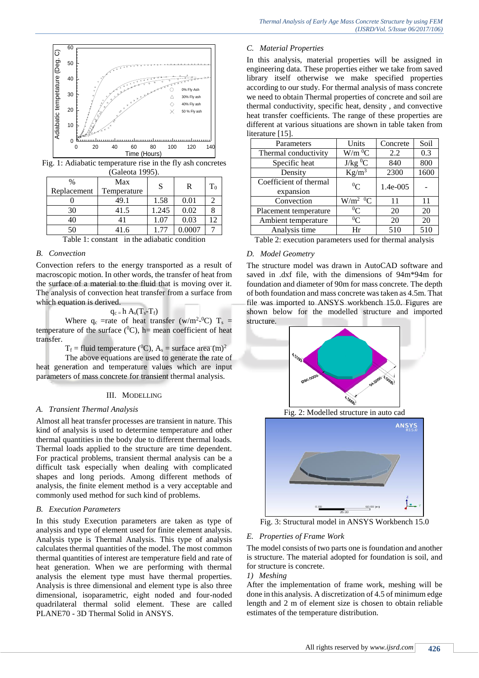

Fig. 1: Adiabatic temperature rise in the fly ash concretes (Galeota 1995).

| $\frac{0}{0}$<br>Replacement | Max<br>Temperature | S     | R      | $T_0$ |
|------------------------------|--------------------|-------|--------|-------|
|                              | 49.1               | 1.58  | 0.01   |       |
| 30                           | 41.5               | 1.245 | 0.02   |       |
| 40                           | 41                 | 1.07  | 0.03   |       |
| 50                           | 41.6               | 77    | 0.0007 |       |

Table 1: constant in the adiabatic condition

## *B. Convection*

Convection refers to the energy transported as a result of macroscopic motion. In other words, the transfer of heat from the surface of a material to the fluid that is moving over it. The analysis of convection heat transfer from a surface from which equation is derived.

#### $q_c = h A_s(T_s-T_f)$

Where  $q_c$  =rate of heat transfer (w/m<sup>2</sup>-<sup>0</sup>C) T<sub>s</sub> = temperature of the surface  $(^{0}C)$ , h= mean coefficient of heat transfer.

 $T_f$  = fluid temperature (<sup>0</sup>C),  $A_s$  = surface area (m)<sup>2</sup>

The above equations are used to generate the rate of heat generation and temperature values which are input parameters of mass concrete for transient thermal analysis.

#### III. MODELLING

#### *A. Transient Thermal Analysis*

Almost all heat transfer processes are transient in nature. This kind of analysis is used to determine temperature and other thermal quantities in the body due to different thermal loads. Thermal loads applied to the structure are time dependent. For practical problems, transient thermal analysis can be a difficult task especially when dealing with complicated shapes and long periods. Among different methods of analysis, the finite element method is a very acceptable and commonly used method for such kind of problems.

#### *B. Execution Parameters*

In this study Execution parameters are taken as type of analysis and type of element used for finite element analysis. Analysis type is Thermal Analysis. This type of analysis calculates thermal quantities of the model. The most common thermal quantities of interest are temperature field and rate of heat generation. When we are performing with thermal analysis the element type must have thermal properties. Analysis is three dimensional and element type is also three dimensional, isoparametric, eight noded and four-noded quadrilateral thermal solid element. These are called PLANE70 - 3D Thermal Solid in ANSYS.

## *C. Material Properties*

In this analysis, material properties will be assigned in engineering data. These properties either we take from saved library itself otherwise we make specified properties according to our study. For thermal analysis of mass concrete we need to obtain Thermal properties of concrete and soil are thermal conductivity, specific heat, density , and convective heat transfer coefficients. The range of these properties are different at various situations are shown in table taken from literature [15].

| Parameters             | Units                  | Concrete | Soil |
|------------------------|------------------------|----------|------|
| Thermal conductivity   | $W/m^0C$               | 2.2      | 0.3  |
| Specific heat          | $\rm J/kg$ $\rm ^0C$   | 840      | 800  |
| Density                | $Kg/m^3$               | 2300     | 1600 |
| Coefficient of thermal | ${}^0C$                | 1.4e-005 |      |
| expansion              |                        |          |      |
| Convection             | $W/m^2$ <sup>0</sup> C | 11       | 11   |
| Placement temperature  | ${}^{0}C$              | 20       | 20   |
| Ambient temperature    | ${}^{0}C$              | 20       | 20   |
| Analysis time          | Hr                     | 510      | 510  |

Table 2: execution parameters used for thermal analysis

#### *D. Model Geometry*

The structure model was drawn in AutoCAD software and saved in .dxf file, with the dimensions of 94m\*94m for foundation and diameter of 90m for mass concrete. The depth of both foundation and mass concrete was taken as 4.5m. That file was imported to ANSYS workbench 15.0. Figures are shown below for the modelled structure and imported structure.



Fig. 2: Modelled structure in auto cad



Fig. 3: Structural model in ANSYS Workbench 15.0

## *E. Properties of Frame Work*

The model consists of two parts one is foundation and another is structure. The material adopted for foundation is soil, and for structure is concrete.

# *1) Meshing*

After the implementation of frame work, meshing will be done in this analysis. A discretization of 4.5 of minimum edge length and 2 m of element size is chosen to obtain reliable estimates of the temperature distribution.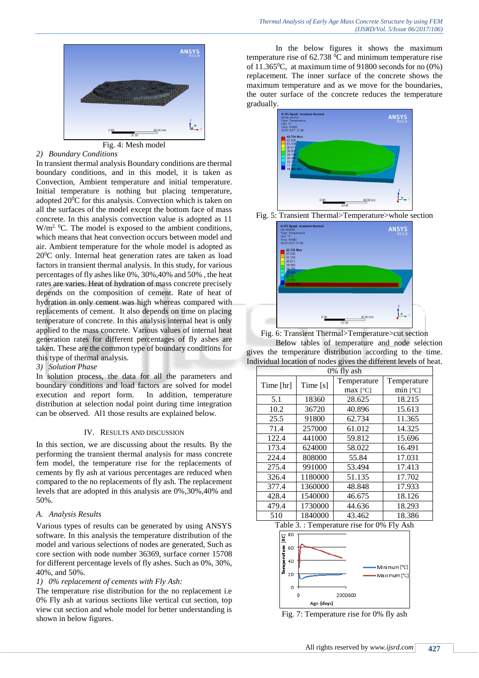

| Fig. 4: Mesh mo |  |  |
|-----------------|--|--|
|-----------------|--|--|

#### *2) Boundary Conditions*

In transient thermal analysis Boundary conditions are thermal boundary conditions, and in this model, it is taken as Convection, Ambient temperature and initial temperature. Initial temperature is nothing but placing temperature, adopted  $20^{\circ}$ C for this analysis. Convection which is taken on all the surfaces of the model except the bottom face of mass concrete. In this analysis convection value is adopted as 11  $W/m<sup>2.0</sup>C$ . The model is exposed to the ambient conditions, which means that heat convection occurs between model and air. Ambient temperature for the whole model is adopted as  $20^{\circ}$ C only. Internal heat generation rates are taken as load factors in transient thermal analysis. In this study, for various percentages of fly ashes like 0%, 30%,40% and 50% , the heat rates are varies. Heat of hydration of mass concrete precisely depends on the composition of cement. Rate of heat of hydration in only cement was high whereas compared with replacements of cement. It also depends on time on placing temperature of concrete. In this analysis internal heat is only applied to the mass concrete. Various values of internal heat generation rates for different percentages of fly ashes are taken. These are the common type of boundary conditions for this type of thermal analysis.

## *3) Solution Phase*

In solution process, the data for all the parameters and boundary conditions and load factors are solved for model execution and report form. In addition, temperature distribution at selection nodal point during time integration can be observed. Al1 those results are explained below.

#### IV. RESULTS AND DISCUSSION

In this section, we are discussing about the results. By the performing the transient thermal analysis for mass concrete fem model, the temperature rise for the replacements of cements by fly ash at various percentages are reduced when compared to the no replacements of fly ash. The replacement levels that are adopted in this analysis are 0%,30%,40% and 50%.

#### *A. Analysis Results*

Various types of results can be generated by using ANSYS software. In this analysis the temperature distribution of the model and various selections of nodes are generated, Such as core section with node number 36369, surface corner 15708 for different percentage levels of fly ashes. Such as 0%, 30%, 40%, and 50%.

## *1) 0% replacement of cements with Fly Ash:*

The temperature rise distribution for the no replacement i.e 0% Fly ash at various sections like vertical cut section, top view cut section and whole model for better understanding is shown in below figures.

In the below figures it shows the maximum temperature rise of  $62.738\text{ °C}$  and minimum temperature rise of 11.365<sup>0</sup>C, at maximum time of 91800 seconds for no  $(0\%)$ replacement. The inner surface of the concrete shows the maximum temperature and as we move for the boundaries, the outer surface of the concrete reduces the temperature gradually.







Fig. 6: Transient Thermal>Temperature>cut section Below tables of temperature and node selection gives the temperature distribution according to the time. Individual location of nodes gives the different levels of heat.

| 0% fly ash |          |             |                       |
|------------|----------|-------------|-----------------------|
| Time [hr]  | Time [s] | Temperature | Temperature           |
|            |          | $max$ [°C]  | $min$ [ $^{\circ}$ C] |
| 5.1        | 18360    | 28.625      | 18.215                |
| 10.2       | 36720    | 40.896      | 15.613                |
| 25.5       | 91800    | 62.734      | 11.365                |
| 71.4       | 257000   | 61.012      | 14.325                |
| 122.4      | 441000   | 59.812      | 15.696                |
| 173.4      | 624000   | 58.022      | 16.491                |
| 224.4      | 808000   | 55.84       | 17.031                |
| 275.4      | 991000   | 53.494      | 17.413                |
| 326.4      | 1180000  | 51.135      | 17.702                |
| 377.4      | 1360000  | 48.848      | 17.933                |
| 428.4      | 1540000  | 46.675      | 18.126                |
| 479.4      | 1730000  | 44.636      | 18.293                |
| 510        | 1840000  | 43.462      | 18.386                |

Table 3. : Temperature rise for 0% Fly Ash



Fig. 7: Temperature rise for 0% fly ash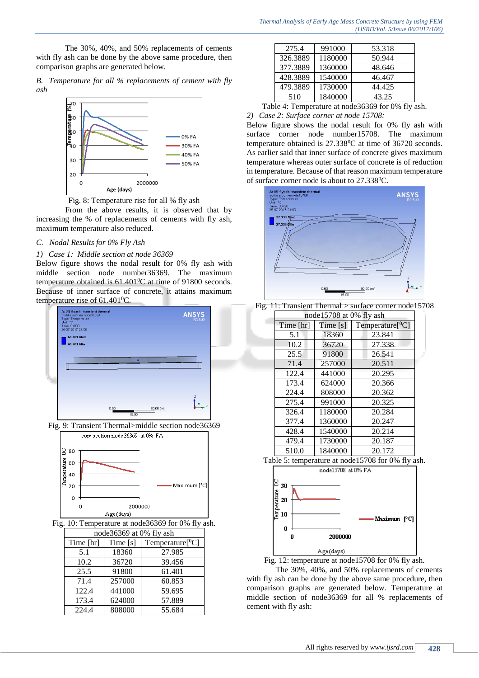The 30%, 40%, and 50% replacements of cements with fly ash can be done by the above same procedure, then comparison graphs are generated below.

*B. Temperature for all % replacements of cement with fly ash*



Fig. 8: Temperature rise for all % fly ash

From the above results, it is observed that by increasing the % of replacements of cements with fly ash, maximum temperature also reduced.

# *C. Nodal Results for 0% Fly Ash*

## *1) Case 1: Middle section at node 36369*

Below figure shows the nodal result for 0% fly ash with middle section node number36369. The maximum temperature obtained is  $61.401\degree C$  at time of 91800 seconds. Because of inner surface of concrete, it attains maximum temperature rise of  $61.401$ <sup>o</sup>C.



Fig. 9: Transient Thermal>middle section node36369



Fig. 10: Temperature at node36369 for 0% fly ash.

| node36369 at 0% fly ash |          |                         |  |
|-------------------------|----------|-------------------------|--|
| Time [hr]               | Time [s] | Temperature $[{}^{0}C]$ |  |
| 5.1                     | 18360    | 27.985                  |  |
| 10.2                    | 36720    | 39.456                  |  |
| 25.5                    | 91800    | 61.401                  |  |
| 71.4                    | 257000   | 60.853                  |  |
| 122.4                   | 441000   | 59.695                  |  |
| 173.4                   | 624000   | 57.889                  |  |
| 224.4                   | 808000   | 55.684                  |  |

| 275.4    | 991000  | 53.318 |
|----------|---------|--------|
| 326.3889 | 1180000 | 50.944 |
| 377.3889 | 1360000 | 48.646 |
| 428.3889 | 1540000 | 46.467 |
| 479.3889 | 1730000 | 44.425 |
| 510      | 1840000 | 43.25  |

Table 4: Temperature at node36369 for 0% fly ash.

*2) Case 2: Surface corner at node 15708:*

Below figure shows the nodal result for 0% fly ash with surface corner node number15708. The maximum temperature obtained is 27.338<sup>0</sup>C at time of 36720 seconds. As earlier said that inner surface of concrete gives maximum temperature whereas outer surface of concrete is of reduction in temperature. Because of that reason maximum temperature of surface corner node is about to 27.338<sup>0</sup>C.





| node15708 at 0% fly ash |            |                         |  |
|-------------------------|------------|-------------------------|--|
| Time [hr]               | Time $[s]$ | Temperature $[{}^{0}C]$ |  |
| 5.1                     | 18360      | 23.841                  |  |
| 10.2                    | 36720      | 27.338                  |  |
| 25.5                    | 91800      | 26.541                  |  |
| 71.4                    | 257000     | 20.511                  |  |
| 122.4                   | 441000     | 20.295                  |  |
| 173.4                   | 624000     | 20.366                  |  |
| 224.4                   | 808000     | 20.362                  |  |
| 275.4                   | 991000     | 20.325                  |  |
| 326.4                   | 1180000    | 20.284                  |  |
| 377.4                   | 1360000    | 20.247                  |  |
| 428.4                   | 1540000    | 20.214                  |  |
| 479.4                   | 1730000    | 20.187                  |  |
| 510.0                   | 1840000    | 20.172                  |  |







The 30%, 40%, and 50% replacements of cements with fly ash can be done by the above same procedure, then comparison graphs are generated below. Temperature at middle section of node36369 for all % replacements of cement with fly ash: